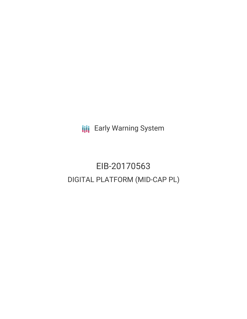**III** Early Warning System

# EIB-20170563 DIGITAL PLATFORM (MID-CAP PL)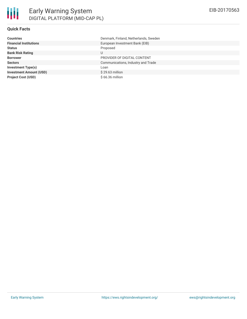## **Quick Facts**

| <b>Countries</b>               | Denmark, Finland, Netherlands, Sweden |
|--------------------------------|---------------------------------------|
| <b>Financial Institutions</b>  | European Investment Bank (EIB)        |
| <b>Status</b>                  | Proposed                              |
| <b>Bank Risk Rating</b>        | U                                     |
| <b>Borrower</b>                | PROVIDER OF DIGITAL CONTENT           |
| <b>Sectors</b>                 | Communications, Industry and Trade    |
| <b>Investment Type(s)</b>      | Loan                                  |
| <b>Investment Amount (USD)</b> | $$29.63$ million                      |
| <b>Project Cost (USD)</b>      | \$66.36 million                       |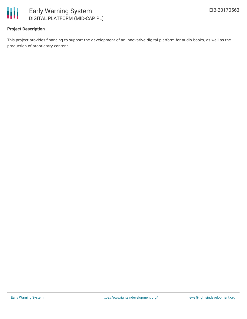

## **Project Description**

This project provides financing to support the development of an innovative digital platform for audio books, as well as the production of proprietary content.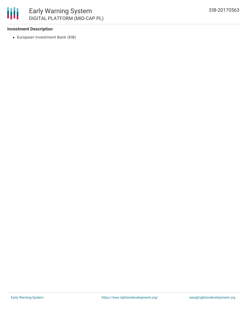

### **Investment Description**

European Investment Bank (EIB)